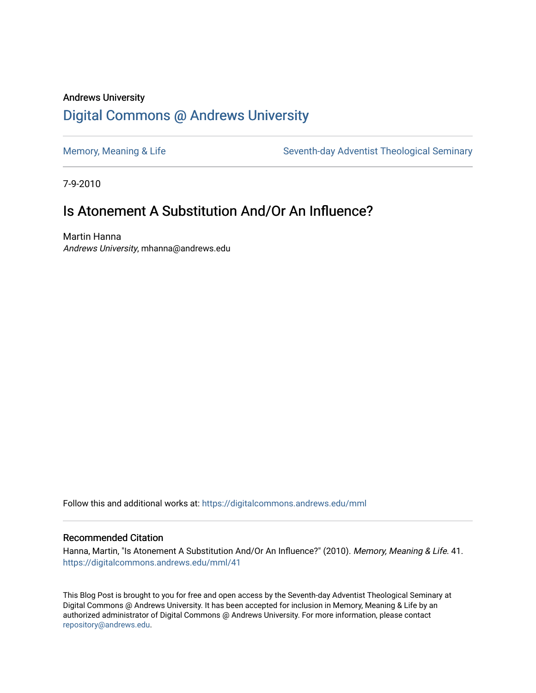# Andrews University [Digital Commons @ Andrews University](https://digitalcommons.andrews.edu/)

[Memory, Meaning & Life](https://digitalcommons.andrews.edu/mml) Seventh-day Adventist Theological Seminary

7-9-2010

# Is Atonement A Substitution And/Or An Influence?

Martin Hanna Andrews University, mhanna@andrews.edu

Follow this and additional works at: [https://digitalcommons.andrews.edu/mml](https://digitalcommons.andrews.edu/mml?utm_source=digitalcommons.andrews.edu%2Fmml%2F41&utm_medium=PDF&utm_campaign=PDFCoverPages) 

#### Recommended Citation

Hanna, Martin, "Is Atonement A Substitution And/Or An Influence?" (2010). Memory, Meaning & Life. 41. [https://digitalcommons.andrews.edu/mml/41](https://digitalcommons.andrews.edu/mml/41?utm_source=digitalcommons.andrews.edu%2Fmml%2F41&utm_medium=PDF&utm_campaign=PDFCoverPages)

This Blog Post is brought to you for free and open access by the Seventh-day Adventist Theological Seminary at Digital Commons @ Andrews University. It has been accepted for inclusion in Memory, Meaning & Life by an authorized administrator of Digital Commons @ Andrews University. For more information, please contact [repository@andrews.edu](mailto:repository@andrews.edu).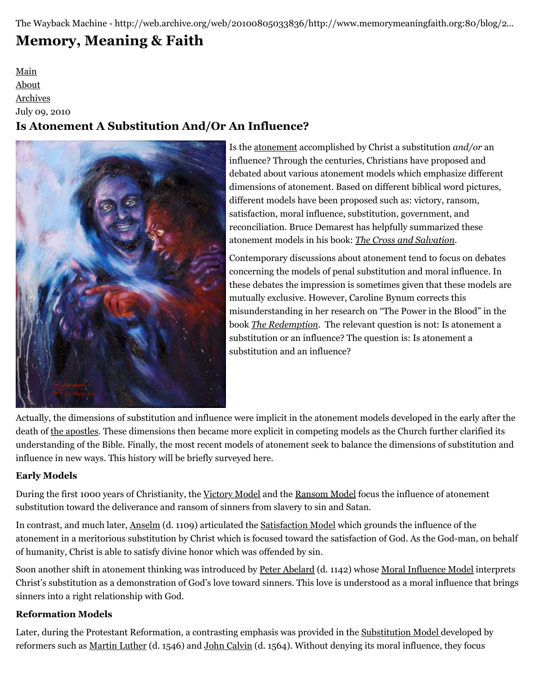The Wayback Machine - http://web.archive.org/web/20100805033836/http://www.memorymeaningfaith.org:80/blog/2…

# **[Memory, Meaning & Faith](http://web.archive.org/web/20100805033836/http://www.memorymeaningfaith.org/blog/)**

[Main](http://web.archive.org/web/20100805033836/http://www.memorymeaningfaith.org/blog) [About](http://web.archive.org/web/20100805033836/http://www.memorymeaningfaith.org/blog/about.html)

[Archives](http://web.archive.org/web/20100805033836/http://www.memorymeaningfaith.org/blog/archives.html)

July 09, 2010

# **Is Atonement A Substitution And/Or An Influence?**



Is the [atonement](http://web.archive.org/web/20100805033836/http://en.wikipedia.org/wiki/Atonement) accomplished by Christ a substitution *and/or* an influence? Through the centuries, Christians have proposed and debated about various atonement models which emphasize different dimensions of atonement. Based on different biblical word pictures, different models have been proposed such as: victory, ransom, satisfaction, moral influence, substitution, government, and reconciliation. Bruce Demarest has helpfully summarized these atonement models in his book: *[The Cross and Salvation](http://web.archive.org/web/20100805033836/http://books.google.com/books?id=X2QMUVTOE0IC&dq=the+cross+and+salvation+bruce+demarest&printsec=frontcover&source=bn&hl=en&ei=TGkWTIHbMYquMvaZyN0L&sa=X&oi=book_result&ct=result&resnum=4&ved=0CCgQ6AEwAw#v=onepage&q&f=false)*.

Contemporary discussions about atonement tend to focus on debates concerning the models of penal substitution and moral influence. In these debates the impression is sometimes given that these models are mutually exclusive. However, Caroline Bynum corrects this misunderstanding in her research on "The Power in the Blood" in the book *[The Redemption](http://web.archive.org/web/20100805033836/http://books.google.com/books?id=F-l1Wy8znD8C&printsec=frontcover&dq=the+redemption+interdisciplinary&source=bl&ots=FjOQgPKyxK&sig=hxUmlcMi0ByDwoW0lBgFIq01NR4&hl=en&ei=HWoWTLjOAYPYM7jA2OsL&sa=X&oi=book_result&ct=result&resnum=3&ved=0CCMQ6AEwAg#v=onepage&q&)*. The relevant question is not: Is atonement a substitution or an influence? The question is: Is atonement a substitution and an influence?

Actually, the dimensions of substitution and influence were implicit in the atonement models developed in the early after the death of [the apostles](http://web.archive.org/web/20100805033836/http://en.wikipedia.org/wiki/Apostle_%28Christian%29). These dimensions then became more explicit in competing models as the Church further clarified its understanding of the Bible. Finally, the most recent models of atonement seek to balance the dimensions of substitution and influence in new ways. This history will be briefly surveyed here.

# **Early Models**

During the first 1000 years of Christianity, the [Victory Model](http://web.archive.org/web/20100805033836/http://en.wikipedia.org/wiki/Atonement_%28Christus_Victor_view%29) and the [Ransom Model](http://web.archive.org/web/20100805033836/http://en.wikipedia.org/wiki/Atonement_%28ransom_view%29) focus the influence of atonement substitution toward the deliverance and ransom of sinners from slavery to sin and Satan.

In contrast, and much later, [Anselm](http://web.archive.org/web/20100805033836/http://en.wikipedia.org/wiki/Anselm_of_Canterbury) (d. 1109) articulated the [Satisfaction Model](http://web.archive.org/web/20100805033836/http://en.wikipedia.org/wiki/Atonement_%28satisfaction_view%29) which grounds the influence of the atonement in a meritorious substitution by Christ which is focused toward the satisfaction of God. As the God-man, on behalf of humanity, Christ is able to satisfy divine honor which was offended by sin.

Soon another shift in atonement thinking was introduced by [Peter Abelard](http://web.archive.org/web/20100805033836/http://en.wikipedia.org/wiki/Peter_Abelard) (d. 1142) whose [Moral Influence Model](http://web.archive.org/web/20100805033836/http://en.wikipedia.org/wiki/Atonement_%28moral_influence_view%29) interprets Christ's substitution as a demonstration of God's love toward sinners. This love is understood as a moral influence that brings sinners into a right relationship with God.

# **Reformation Models**

Later, during the Protestant Reformation, a contrasting emphasis was provided in the [Substitution Model d](http://web.archive.org/web/20100805033836/http://en.wikipedia.org/wiki/Atonement_%28penal_substitution_view%29)eveloped by reformers such as [Martin Luther](http://web.archive.org/web/20100805033836/http://en.wikipedia.org/wiki/Martin_Luther) (d. 1546) and [John Calvin](http://web.archive.org/web/20100805033836/http://en.wikipedia.org/wiki/John_Calvin) (d. 1564). Without denying its moral influence, they focus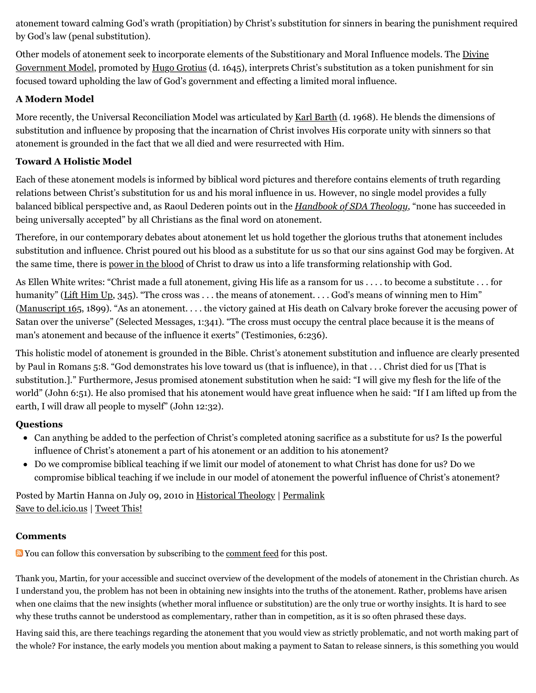atonement toward calming God's wrath (propitiation) by Christ's substitution for sinners in bearing the punishment required by God's law (penal substitution).

Other models of atonement seek to incorporate elements of the Substitionary and Moral Influence models. The Divine [Government Model, promoted by Hugo Grotius \(d. 1645\), interprets Christ's substitution as a token punishment for sin](http://web.archive.org/web/20100805033836/http://en.wikipedia.org/wiki/Atonement_%28governmental_view%29) focused toward upholding the law of God's government and effecting a limited moral influence.

# **A Modern Model**

More recently, the Universal Reconciliation Model was articulated by [Karl Barth](http://web.archive.org/web/20100805033836/http://en.wikipedia.org/wiki/Karl_Barth) (d. 1968). He blends the dimensions of substitution and influence by proposing that the incarnation of Christ involves His corporate unity with sinners so that atonement is grounded in the fact that we all died and were resurrected with Him.

# **Toward A Holistic Model**

Each of these atonement models is informed by biblical word pictures and therefore contains elements of truth regarding relations between Christ's substitution for us and his moral influence in us. However, no single model provides a fully balanced biblical perspective and, as Raoul Dederen points out in the *[Handbook of SDA Theology](http://web.archive.org/web/20100805033836/http://www.adventistbookcenter.com/Detail.tpl?sku=0828014604)*, "none has succeeded in being universally accepted" by all Christians as the final word on atonement.

Therefore, in our contemporary debates about atonement let us hold together the glorious truths that atonement includes substitution and influence. Christ poured out his blood as a substitute for us so that our sins against God may be forgiven. At the same time, there is [power in the blood](http://web.archive.org/web/20100805033836/http://library.timelesstruths.org/music/There_Is_Power_in_the_Blood/) of Christ to draw us into a life transforming relationship with God.

As Ellen White writes: "Christ made a full atonement, giving His life as a ransom for us . . . . to become a substitute . . . for humanity" [\(Lift Him Up,](http://web.archive.org/web/20100805033836/http://www.whiteestate.org/search/search.asp) 345). "The cross was ... the means of atonement.... God's means of winning men to Him" ([Manuscript 165](http://web.archive.org/web/20100805033836/http://www.whiteestate.org/search/search.asp), 1899). "As an atonement. . . . the victory gained at His death on Calvary broke forever the accusing power of Satan over the universe" (Selected Messages, 1:341). "The cross must occupy the central place because it is the means of man's atonement and because of the influence it exerts" (Testimonies, 6:236).

This holistic model of atonement is grounded in the Bible. Christ's atonement substitution and influence are clearly presented by Paul in Romans 5:8. "God demonstrates his love toward us (that is influence), in that . . . Christ died for us [That is substitution.]." Furthermore, Jesus promised atonement substitution when he said: "I will give my flesh for the life of the world" (John 6:51). He also promised that his atonement would have great influence when he said: "If I am lifted up from the earth, I will draw all people to myself" (John 12:32).

# **Questions**

- Can anything be added to the perfection of Christ's completed atoning sacrifice as a substitute for us? Is the powerful influence of Christ's atonement a part of his atonement or an addition to his atonement?
- Do we compromise biblical teaching if we limit our model of atonement to what Christ has done for us? Do we compromise biblical teaching if we include in our model of atonement the powerful influence of Christ's atonement?

Posted by Martin Hanna on July 09, 2010 in [Historical Theology](http://web.archive.org/web/20100805033836/http://www.memorymeaningfaith.org/blog/theology/) | [Permalink](http://web.archive.org/web/20100805033836/http://www.memorymeaningfaith.org/blog/2010/07/atonement-substitution-influence.html) [Save to del.icio.us](http://web.archive.org/web/20100805033836/http://del.icio.us/post) | [Tweet This!](http://web.archive.org/web/20100805033836/http://twitter.com/home?status=Is%20Atoneme...%20http%3A%2F%2Fweb.archive.org%2Fweb%2F20100805033836%2Fhttp%3A%2F%2Fwww.memorymeaningfaith.org%2Fblog%2F2010%2F07%2Fatonement-substitution-influence.html)

# **Comments**

You can follow this conversation by subscribing to the [comment feed](http://web.archive.org/web/20100805033836/http://www.memorymeaningfaith.org/blog/2010/07/atonement-substitution-influence/comments/atom.xml) for this post.

Thank you, Martin, for your accessible and succinct overview of the development of the models of atonement in the Christian church. As I understand you, the problem has not been in obtaining new insights into the truths of the atonement. Rather, problems have arisen when one claims that the new insights (whether moral influence or substitution) are the only true or worthy insights. It is hard to see why these truths cannot be understood as complementary, rather than in competition, as it is so often phrased these days.

Having said this, are there teachings regarding the atonement that you would view as strictly problematic, and not worth making part of the whole? For instance, the early models you mention about making a payment to Satan to release sinners, is this something you would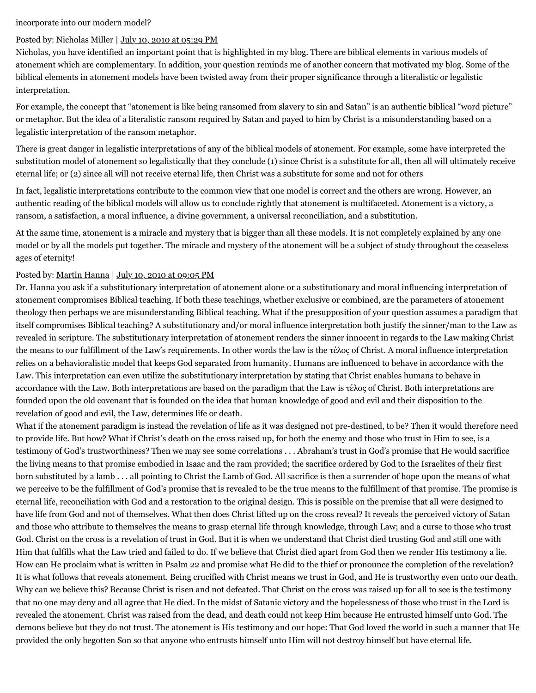#### incorporate into our modern model?

#### Posted by: Nicholas Miller | [July 10, 2010 at 05:29 PM](http://web.archive.org/web/20100805033836/http://www.memorymeaningfaith.org/blog/2010/07/atonement-substitution-influence.html?cid=6a01287656f488970c0133f232c509970b#comment-6a01287656f488970c0133f232c509970b)

Nicholas, you have identified an important point that is highlighted in my blog. There are biblical elements in various models of atonement which are complementary. In addition, your question reminds me of another concern that motivated my blog. Some of the biblical elements in atonement models have been twisted away from their proper significance through a literalistic or legalistic interpretation.

For example, the concept that "atonement is like being ransomed from slavery to sin and Satan" is an authentic biblical "word picture" or metaphor. But the idea of a literalistic ransom required by Satan and payed to him by Christ is a misunderstanding based on a legalistic interpretation of the ransom metaphor.

There is great danger in legalistic interpretations of any of the biblical models of atonement. For example, some have interpreted the substitution model of atonement so legalistically that they conclude (1) since Christ is a substitute for all, then all will ultimately receive eternal life; or (2) since all will not receive eternal life, then Christ was a substitute for some and not for others

In fact, legalistic interpretations contribute to the common view that one model is correct and the others are wrong. However, an authentic reading of the biblical models will allow us to conclude rightly that atonement is multifaceted. Atonement is a victory, a ransom, a satisfaction, a moral influence, a divine government, a universal reconciliation, and a substitution.

At the same time, atonement is a miracle and mystery that is bigger than all these models. It is not completely explained by any one model or by all the models put together. The miracle and mystery of the atonement will be a subject of study throughout the ceaseless ages of eternity!

#### Posted by: [Martin Hanna](http://web.archive.org/web/20100805033836/http://cosmicchristconnections.blogspot.com/) | [July 10, 2010 at 09:05 PM](http://web.archive.org/web/20100805033836/http://www.memorymeaningfaith.org/blog/2010/07/atonement-substitution-influence.html?cid=6a01287656f488970c0133f233829d970b#comment-6a01287656f488970c0133f233829d970b)

Dr. Hanna you ask if a substitutionary interpretation of atonement alone or a substitutionary and moral influencing interpretation of atonement compromises Biblical teaching. If both these teachings, whether exclusive or combined, are the parameters of atonement theology then perhaps we are misunderstanding Biblical teaching. What if the presupposition of your question assumes a paradigm that itself compromises Biblical teaching? A substitutionary and/or moral influence interpretation both justify the sinner/man to the Law as revealed in scripture. The substitutionary interpretation of atonement renders the sinner innocent in regards to the Law making Christ the means to our fulfillment of the Law's requirements. In other words the law is the τέλος of Christ. A moral influence interpretation relies on a behavioralistic model that keeps God separated from humanity. Humans are influenced to behave in accordance with the Law. This interpretation can even utilize the substitutionary interpretation by stating that Christ enables humans to behave in accordance with the Law. Both interpretations are based on the paradigm that the Law is τέλος of Christ. Both interpretations are founded upon the old covenant that is founded on the idea that human knowledge of good and evil and their disposition to the revelation of good and evil, the Law, determines life or death.

What if the atonement paradigm is instead the revelation of life as it was designed not pre-destined, to be? Then it would therefore need to provide life. But how? What if Christ's death on the cross raised up, for both the enemy and those who trust in Him to see, is a testimony of God's trustworthiness? Then we may see some correlations . . . Abraham's trust in God's promise that He would sacrifice the living means to that promise embodied in Isaac and the ram provided; the sacrifice ordered by God to the Israelites of their first born substituted by a lamb . . . all pointing to Christ the Lamb of God. All sacrifice is then a surrender of hope upon the means of what we perceive to be the fulfillment of God's promise that is revealed to be the true means to the fulfillment of that promise. The promise is eternal life, reconciliation with God and a restoration to the original design. This is possible on the premise that all were designed to have life from God and not of themselves. What then does Christ lifted up on the cross reveal? It reveals the perceived victory of Satan and those who attribute to themselves the means to grasp eternal life through knowledge, through Law; and a curse to those who trust God. Christ on the cross is a revelation of trust in God. But it is when we understand that Christ died trusting God and still one with Him that fulfills what the Law tried and failed to do. If we believe that Christ died apart from God then we render His testimony a lie. How can He proclaim what is written in Psalm 22 and promise what He did to the thief or pronounce the completion of the revelation? It is what follows that reveals atonement. Being crucified with Christ means we trust in God, and He is trustworthy even unto our death. Why can we believe this? Because Christ is risen and not defeated. That Christ on the cross was raised up for all to see is the testimony that no one may deny and all agree that He died. In the midst of Satanic victory and the hopelessness of those who trust in the Lord is revealed the atonement. Christ was raised from the dead, and death could not keep Him because He entrusted himself unto God. The demons believe but they do not trust. The atonement is His testimony and our hope: That God loved the world in such a manner that He provided the only begotten Son so that anyone who entrusts himself unto Him will not destroy himself but have eternal life.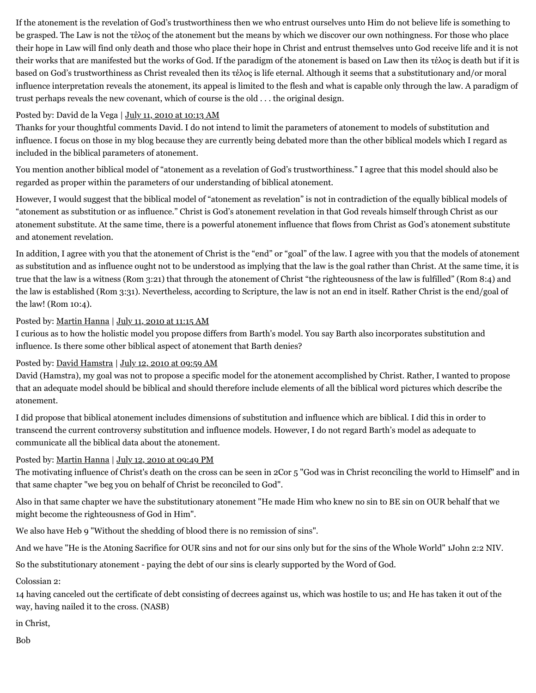If the atonement is the revelation of God's trustworthiness then we who entrust ourselves unto Him do not believe life is something to be grasped. The Law is not the τέλος of the atonement but the means by which we discover our own nothingness. For those who place their hope in Law will find only death and those who place their hope in Christ and entrust themselves unto God receive life and it is not their works that are manifested but the works of God. If the paradigm of the atonement is based on Law then its τέλος is death but if it is based on God's trustworthiness as Christ revealed then its τέλος is life eternal. Although it seems that a substitutionary and/or moral influence interpretation reveals the atonement, its appeal is limited to the flesh and what is capable only through the law. A paradigm of trust perhaps reveals the new covenant, which of course is the old . . . the original design.

#### Posted by: David de la Vega | [July 11, 2010 at 10:13 AM](http://web.archive.org/web/20100805033836/http://www.memorymeaningfaith.org/blog/2010/07/atonement-substitution-influence.html?cid=6a01287656f488970c0134855b7fde970c#comment-6a01287656f488970c0134855b7fde970c)

Thanks for your thoughtful comments David. I do not intend to limit the parameters of atonement to models of substitution and influence. I focus on those in my blog because they are currently being debated more than the other biblical models which I regard as included in the biblical parameters of atonement.

You mention another biblical model of "atonement as a revelation of God's trustworthiness." I agree that this model should also be regarded as proper within the parameters of our understanding of biblical atonement.

However, I would suggest that the biblical model of "atonement as revelation" is not in contradiction of the equally biblical models of "atonement as substitution or as influence." Christ is God's atonement revelation in that God reveals himself through Christ as our atonement substitute. At the same time, there is a powerful atonement influence that flows from Christ as God's atonement substitute and atonement revelation.

In addition, I agree with you that the atonement of Christ is the "end" or "goal" of the law. I agree with you that the models of atonement as substitution and as influence ought not to be understood as implying that the law is the goal rather than Christ. At the same time, it is true that the law is a witness (Rom 3:21) that through the atonement of Christ "the righteousness of the law is fulfilled" (Rom 8:4) and the law is established (Rom 3:31). Nevertheless, according to Scripture, the law is not an end in itself. Rather Christ is the end/goal of the law! (Rom 10:4).

#### Posted by: [Martin Hanna](http://web.archive.org/web/20100805033836/http://cosmicchristconnections.blogspot.com/) | [July 11, 2010 at 11:15 AM](http://web.archive.org/web/20100805033836/http://www.memorymeaningfaith.org/blog/2010/07/atonement-substitution-influence.html?cid=6a01287656f488970c0133f235f612970b#comment-6a01287656f488970c0133f235f612970b)

I curious as to how the holistic model you propose differs from Barth's model. You say Barth also incorporates substitution and influence. Is there some other biblical aspect of atonement that Barth denies?

#### Posted by: [David Hamstra](http://web.archive.org/web/20100805033836/http://profile.typepad.com/davidhamstra) | [July 12, 2010 at 09:59 AM](http://web.archive.org/web/20100805033836/http://www.memorymeaningfaith.org/blog/2010/07/atonement-substitution-influence.html?cid=6a01287656f488970c013485608217970c#comment-6a01287656f488970c013485608217970c)

David (Hamstra), my goal was not to propose a specific model for the atonement accomplished by Christ. Rather, I wanted to propose that an adequate model should be biblical and should therefore include elements of all the biblical word pictures which describe the atonement.

I did propose that biblical atonement includes dimensions of substitution and influence which are biblical. I did this in order to transcend the current controversy substitution and influence models. However, I do not regard Barth's model as adequate to communicate all the biblical data about the atonement.

#### Posted by: [Martin Hanna](http://web.archive.org/web/20100805033836/http://cosmicchristconnections.blogspot.com/) | [July 12, 2010 at 09:49 PM](http://web.archive.org/web/20100805033836/http://www.memorymeaningfaith.org/blog/2010/07/atonement-substitution-influence.html?cid=6a01287656f488970c01348563d3dc970c#comment-6a01287656f488970c01348563d3dc970c)

The motivating influence of Christ's death on the cross can be seen in 2Cor 5 "God was in Christ reconciling the world to Himself" and in that same chapter "we beg you on behalf of Christ be reconciled to God".

Also in that same chapter we have the substitutionary atonement "He made Him who knew no sin to BE sin on OUR behalf that we might become the righteousness of God in Him".

We also have Heb 9 "Without the shedding of blood there is no remission of sins".

And we have "He is the Atoning Sacrifice for OUR sins and not for our sins only but for the sins of the Whole World" 1John 2:2 NIV.

So the substitutionary atonement - paying the debt of our sins is clearly supported by the Word of God.

#### Colossian 2:

14 having canceled out the certificate of debt consisting of decrees against us, which was hostile to us; and He has taken it out of the way, having nailed it to the cross. (NASB)

#### in Christ,

Bob